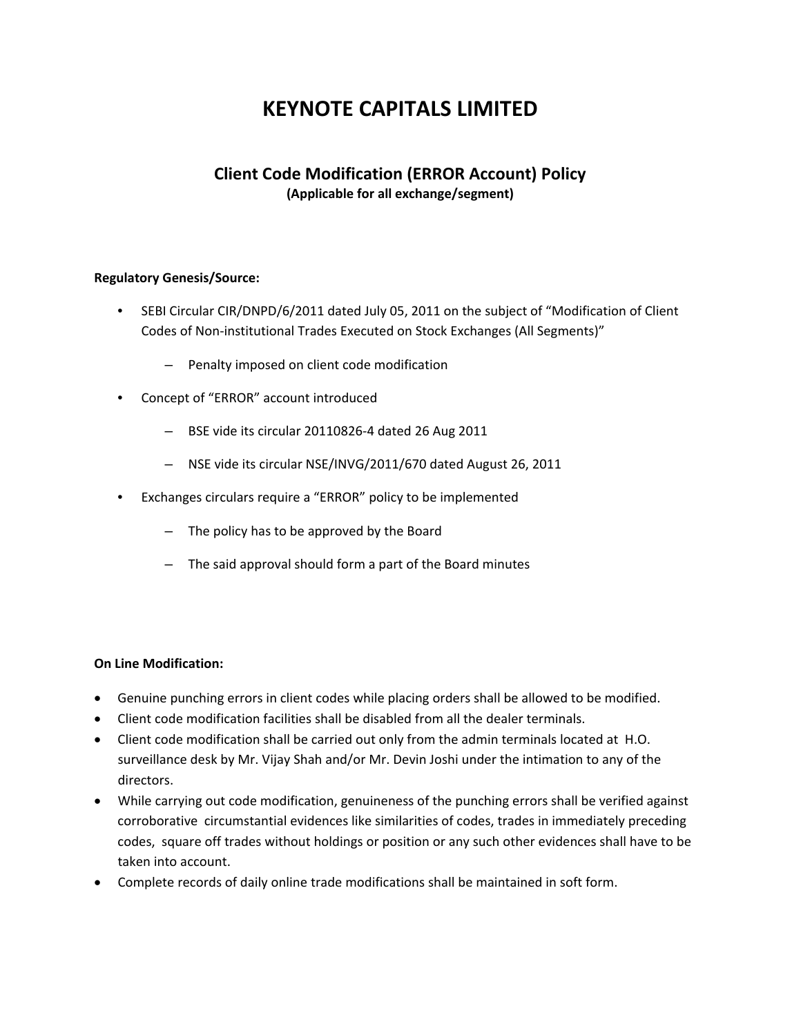# **KEYNOTE CAPITALS LIMITED**

## **Client Code Modification (ERROR Account) Policy**

**(Applicable for all exchange/segment)**

### **Regulatory Genesis/Source:**

- SEBI Circular CIR/DNPD/6/2011 dated July 05, 2011 on the subject of "Modification of Client Codes of Non‐institutional Trades Executed on Stock Exchanges (All Segments)"
	- Penalty imposed on client code modification
- Concept of "ERROR" account introduced
	- BSE vide its circular 20110826‐4 dated 26 Aug 2011
	- NSE vide its circular NSE/INVG/2011/670 dated August 26, 2011
- Exchanges circulars require a "ERROR" policy to be implemented
	- The policy has to be approved by the Board
	- The said approval should form a part of the Board minutes

#### **On Line Modification:**

- Genuine punching errors in client codes while placing orders shall be allowed to be modified.
- Client code modification facilities shall be disabled from all the dealer terminals.
- Client code modification shall be carried out only from the admin terminals located at H.O. surveillance desk by Mr. Vijay Shah and/or Mr. Devin Joshi under the intimation to any of the directors.
- While carrying out code modification, genuineness of the punching errors shall be verified against corroborative circumstantial evidences like similarities of codes, trades in immediately preceding codes, square off trades without holdings or position or any such other evidences shall have to be taken into account.
- Complete records of daily online trade modifications shall be maintained in soft form.